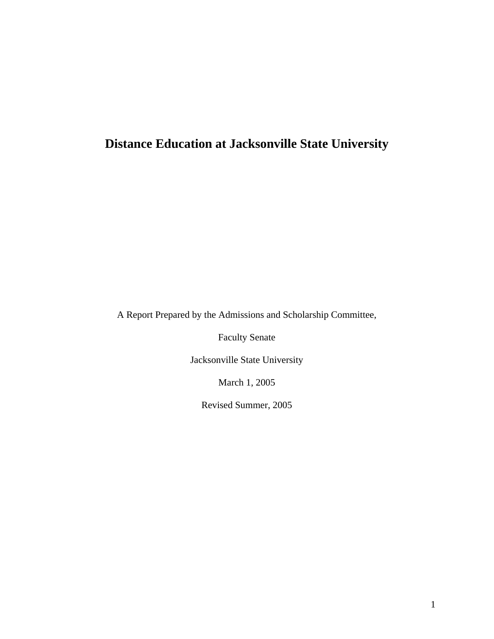## **Distance Education at Jacksonville State University**

A Report Prepared by the Admissions and Scholarship Committee,

Faculty Senate

Jacksonville State University

March 1, 2005

Revised Summer, 2005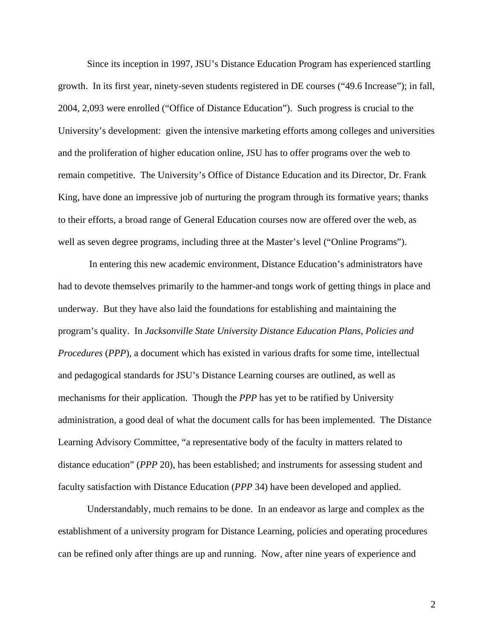Since its inception in 1997, JSU's Distance Education Program has experienced startling growth. In its first year, ninety-seven students registered in DE courses ("49.6 Increase"); in fall, 2004, 2,093 were enrolled ("Office of Distance Education"). Such progress is crucial to the University's development: given the intensive marketing efforts among colleges and universities and the proliferation of higher education online, JSU has to offer programs over the web to remain competitive. The University's Office of Distance Education and its Director, Dr. Frank King, have done an impressive job of nurturing the program through its formative years; thanks to their efforts, a broad range of General Education courses now are offered over the web, as well as seven degree programs, including three at the Master's level ("Online Programs").

In entering this new academic environment, Distance Education's administrators have had to devote themselves primarily to the hammer-and tongs work of getting things in place and underway. But they have also laid the foundations for establishing and maintaining the program's quality. In *Jacksonville State University Distance Education Plans, Policies and Procedures* (*PPP*), a document which has existed in various drafts for some time, intellectual and pedagogical standards for JSU's Distance Learning courses are outlined, as well as mechanisms for their application. Though the *PPP* has yet to be ratified by University administration, a good deal of what the document calls for has been implemented. The Distance Learning Advisory Committee, "a representative body of the faculty in matters related to distance education" (*PPP* 20), has been established; and instruments for assessing student and faculty satisfaction with Distance Education (*PPP* 34) have been developed and applied.

Understandably, much remains to be done. In an endeavor as large and complex as the establishment of a university program for Distance Learning, policies and operating procedures can be refined only after things are up and running. Now, after nine years of experience and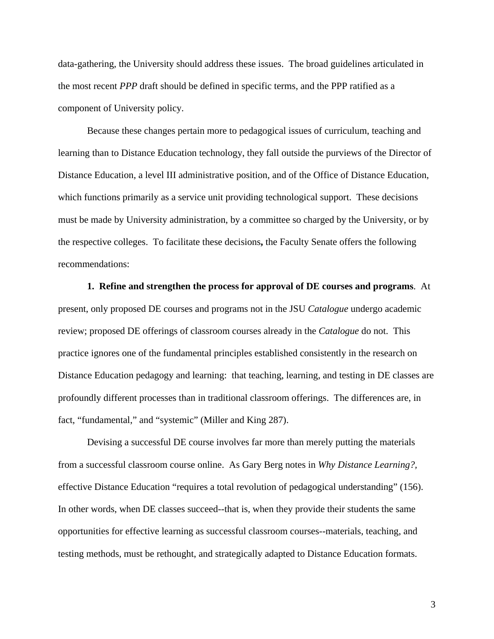data-gathering, the University should address these issues. The broad guidelines articulated in the most recent *PPP* draft should be defined in specific terms, and the PPP ratified as a component of University policy.

Because these changes pertain more to pedagogical issues of curriculum, teaching and learning than to Distance Education technology, they fall outside the purviews of the Director of Distance Education, a level III administrative position, and of the Office of Distance Education, which functions primarily as a service unit providing technological support. These decisions must be made by University administration, by a committee so charged by the University, or by the respective colleges. To facilitate these decisions**,** the Faculty Senate offers the following recommendations:

**1. Refine and strengthen the process for approval of DE courses and programs**. At present, only proposed DE courses and programs not in the JSU *Catalogue* undergo academic review; proposed DE offerings of classroom courses already in the *Catalogue* do not. This practice ignores one of the fundamental principles established consistently in the research on Distance Education pedagogy and learning: that teaching, learning, and testing in DE classes are profoundly different processes than in traditional classroom offerings. The differences are, in fact, "fundamental," and "systemic" (Miller and King 287).

Devising a successful DE course involves far more than merely putting the materials from a successful classroom course online. As Gary Berg notes in *Why Distance Learning?,*  effective Distance Education "requires a total revolution of pedagogical understanding" (156). In other words, when DE classes succeed--that is, when they provide their students the same opportunities for effective learning as successful classroom courses--materials, teaching, and testing methods, must be rethought, and strategically adapted to Distance Education formats.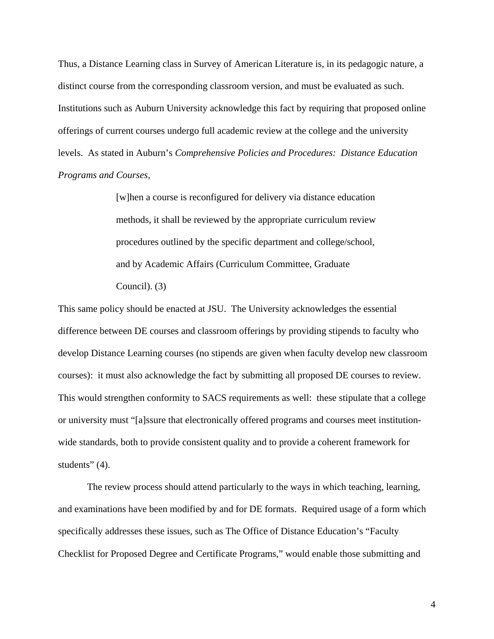Thus, a Distance Learning class in Survey of American Literature is, in its pedagogic nature, a distinct course from the corresponding classroom version, and must be evaluated as such. Institutions such as Auburn University acknowledge this fact by requiring that proposed online offerings of current courses undergo full academic review at the college and the university levels. As stated in Auburn's *Comprehensive Policies and Procedures: Distance Education Programs and Courses,* 

> [w]hen a course is reconfigured for delivery via distance education methods, it shall be reviewed by the appropriate curriculum review procedures outlined by the specific department and college/school, and by Academic Affairs (Curriculum Committee, Graduate Council). (3)

This same policy should be enacted at JSU. The University acknowledges the essential difference between DE courses and classroom offerings by providing stipends to faculty who develop Distance Learning courses (no stipends are given when faculty develop new classroom courses): it must also acknowledge the fact by submitting all proposed DE courses to review. This would strengthen conformity to SACS requirements as well: these stipulate that a college or university must "[a]ssure that electronically offered programs and courses meet institutionwide standards, both to provide consistent quality and to provide a coherent framework for students" (4).

The review process should attend particularly to the ways in which teaching, learning, and examinations have been modified by and for DE formats. Required usage of a form which specifically addresses these issues, such as The Office of Distance Education's "Faculty Checklist for Proposed Degree and Certificate Programs," would enable those submitting and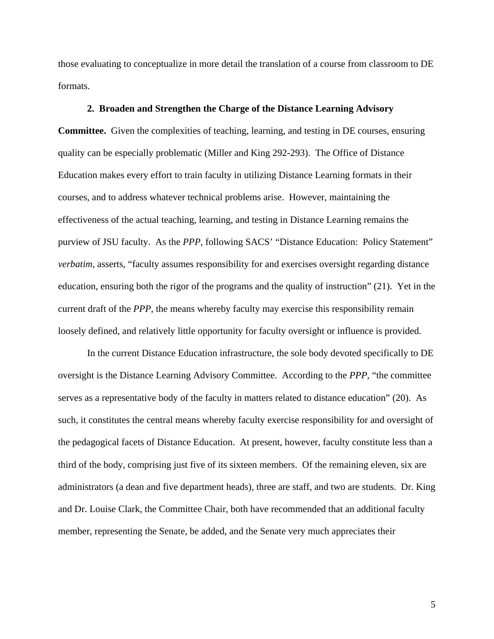those evaluating to conceptualize in more detail the translation of a course from classroom to DE formats.

## **2. Broaden and Strengthen the Charge of the Distance Learning Advisory**

**Committee.** Given the complexities of teaching, learning, and testing in DE courses, ensuring quality can be especially problematic (Miller and King 292-293). The Office of Distance Education makes every effort to train faculty in utilizing Distance Learning formats in their courses, and to address whatever technical problems arise. However, maintaining the effectiveness of the actual teaching, learning, and testing in Distance Learning remains the purview of JSU faculty. As the *PPP,* following SACS' "Distance Education: Policy Statement" *verbatim*, asserts, "faculty assumes responsibility for and exercises oversight regarding distance education, ensuring both the rigor of the programs and the quality of instruction" (21). Yet in the current draft of the *PPP*, the means whereby faculty may exercise this responsibility remain loosely defined, and relatively little opportunity for faculty oversight or influence is provided.

In the current Distance Education infrastructure, the sole body devoted specifically to DE oversight is the Distance Learning Advisory Committee. According to the *PPP,* "the committee serves as a representative body of the faculty in matters related to distance education" (20). As such, it constitutes the central means whereby faculty exercise responsibility for and oversight of the pedagogical facets of Distance Education. At present, however, faculty constitute less than a third of the body, comprising just five of its sixteen members. Of the remaining eleven, six are administrators (a dean and five department heads), three are staff, and two are students. Dr. King and Dr. Louise Clark, the Committee Chair, both have recommended that an additional faculty member, representing the Senate, be added, and the Senate very much appreciates their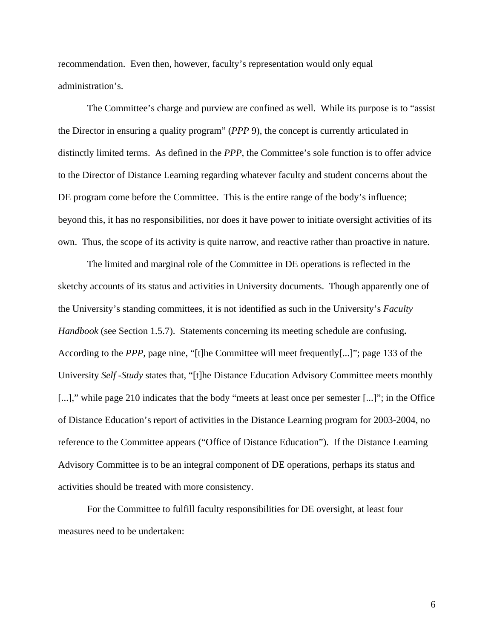recommendation. Even then, however, faculty's representation would only equal administration's.

The Committee's charge and purview are confined as well. While its purpose is to "assist the Director in ensuring a quality program" (*PPP* 9), the concept is currently articulated in distinctly limited terms. As defined in the *PPP*, the Committee's sole function is to offer advice to the Director of Distance Learning regarding whatever faculty and student concerns about the DE program come before the Committee. This is the entire range of the body's influence; beyond this, it has no responsibilities, nor does it have power to initiate oversight activities of its own. Thus, the scope of its activity is quite narrow, and reactive rather than proactive in nature.

The limited and marginal role of the Committee in DE operations is reflected in the sketchy accounts of its status and activities in University documents. Though apparently one of the University's standing committees, it is not identified as such in the University's *Faculty Handbook* (see Section 1.5.7). Statements concerning its meeting schedule are confusing**.**  According to the *PPP,* page nine, "[t]he Committee will meet frequently[...]"; page 133 of the University *Self -Study* states that, "[t]he Distance Education Advisory Committee meets monthly [...]," while page 210 indicates that the body "meets at least once per semester [...]"; in the Office of Distance Education's report of activities in the Distance Learning program for 2003-2004, no reference to the Committee appears ("Office of Distance Education"). If the Distance Learning Advisory Committee is to be an integral component of DE operations, perhaps its status and activities should be treated with more consistency.

For the Committee to fulfill faculty responsibilities for DE oversight, at least four measures need to be undertaken: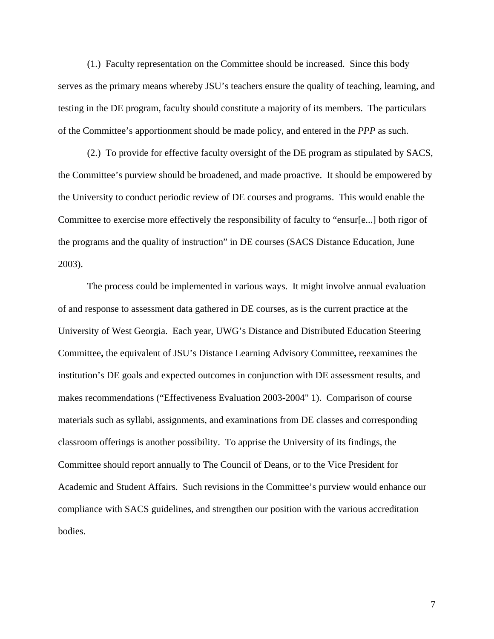(1.) Faculty representation on the Committee should be increased. Since this body serves as the primary means whereby JSU's teachers ensure the quality of teaching, learning, and testing in the DE program, faculty should constitute a majority of its members. The particulars of the Committee's apportionment should be made policy, and entered in the *PPP* as such.

(2.) To provide for effective faculty oversight of the DE program as stipulated by SACS, the Committee's purview should be broadened, and made proactive. It should be empowered by the University to conduct periodic review of DE courses and programs. This would enable the Committee to exercise more effectively the responsibility of faculty to "ensur[e...] both rigor of the programs and the quality of instruction" in DE courses (SACS Distance Education, June 2003).

The process could be implemented in various ways. It might involve annual evaluation of and response to assessment data gathered in DE courses, as is the current practice at the University of West Georgia. Each year, UWG's Distance and Distributed Education Steering Committee**,** the equivalent of JSU's Distance Learning Advisory Committee**,** reexamines the institution's DE goals and expected outcomes in conjunction with DE assessment results, and makes recommendations ("Effectiveness Evaluation 2003-2004" 1). Comparison of course materials such as syllabi, assignments, and examinations from DE classes and corresponding classroom offerings is another possibility. To apprise the University of its findings, the Committee should report annually to The Council of Deans, or to the Vice President for Academic and Student Affairs. Such revisions in the Committee's purview would enhance our compliance with SACS guidelines, and strengthen our position with the various accreditation bodies.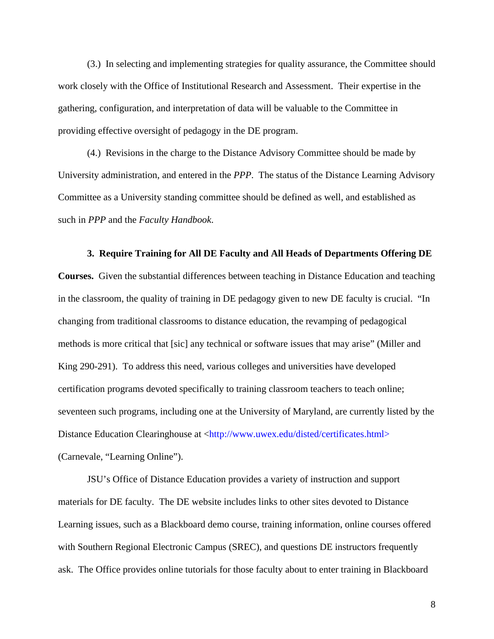(3.) In selecting and implementing strategies for quality assurance, the Committee should work closely with the Office of Institutional Research and Assessment. Their expertise in the gathering, configuration, and interpretation of data will be valuable to the Committee in providing effective oversight of pedagogy in the DE program.

(4.) Revisions in the charge to the Distance Advisory Committee should be made by University administration, and entered in the *PPP*. The status of the Distance Learning Advisory Committee as a University standing committee should be defined as well, and established as such in *PPP* and the *Faculty Handbook*.

#### **3. Require Training for All DE Faculty and All Heads of Departments Offering DE**

**Courses.** Given the substantial differences between teaching in Distance Education and teaching in the classroom, the quality of training in DE pedagogy given to new DE faculty is crucial. "In changing from traditional classrooms to distance education, the revamping of pedagogical methods is more critical that [sic] any technical or software issues that may arise" (Miller and King 290-291). To address this need, various colleges and universities have developed certification programs devoted specifically to training classroom teachers to teach online; seventeen such programs, including one at the University of Maryland, are currently listed by the Distance Education Clearinghouse at <http://www.uwex.edu/disted/certificates.html> (Carnevale, "Learning Online").

JSU's Office of Distance Education provides a variety of instruction and support materials for DE faculty. The DE website includes links to other sites devoted to Distance Learning issues, such as a Blackboard demo course, training information, online courses offered with Southern Regional Electronic Campus (SREC), and questions DE instructors frequently ask. The Office provides online tutorials for those faculty about to enter training in Blackboard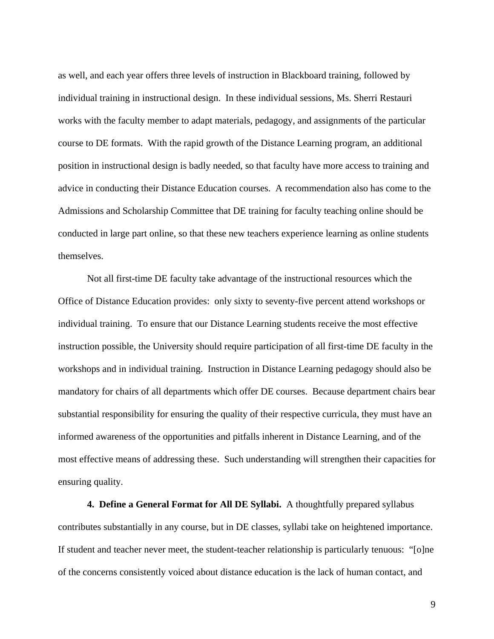as well, and each year offers three levels of instruction in Blackboard training, followed by individual training in instructional design. In these individual sessions, Ms. Sherri Restauri works with the faculty member to adapt materials, pedagogy, and assignments of the particular course to DE formats. With the rapid growth of the Distance Learning program, an additional position in instructional design is badly needed, so that faculty have more access to training and advice in conducting their Distance Education courses. A recommendation also has come to the Admissions and Scholarship Committee that DE training for faculty teaching online should be conducted in large part online, so that these new teachers experience learning as online students themselves.

Not all first-time DE faculty take advantage of the instructional resources which the Office of Distance Education provides: only sixty to seventy-five percent attend workshops or individual training. To ensure that our Distance Learning students receive the most effective instruction possible, the University should require participation of all first-time DE faculty in the workshops and in individual training. Instruction in Distance Learning pedagogy should also be mandatory for chairs of all departments which offer DE courses. Because department chairs bear substantial responsibility for ensuring the quality of their respective curricula, they must have an informed awareness of the opportunities and pitfalls inherent in Distance Learning, and of the most effective means of addressing these. Such understanding will strengthen their capacities for ensuring quality.

**4. Define a General Format for All DE Syllabi.** A thoughtfully prepared syllabus contributes substantially in any course, but in DE classes, syllabi take on heightened importance. If student and teacher never meet, the student-teacher relationship is particularly tenuous: "[o]ne of the concerns consistently voiced about distance education is the lack of human contact, and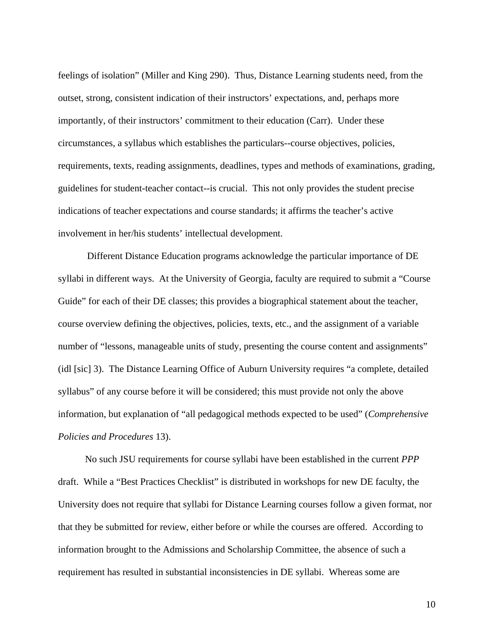feelings of isolation" (Miller and King 290). Thus, Distance Learning students need, from the outset, strong, consistent indication of their instructors' expectations, and, perhaps more importantly, of their instructors' commitment to their education (Carr). Under these circumstances, a syllabus which establishes the particulars--course objectives, policies, requirements, texts, reading assignments, deadlines, types and methods of examinations, grading, guidelines for student-teacher contact--is crucial. This not only provides the student precise indications of teacher expectations and course standards; it affirms the teacher's active involvement in her/his students' intellectual development.

Different Distance Education programs acknowledge the particular importance of DE syllabi in different ways. At the University of Georgia, faculty are required to submit a "Course Guide" for each of their DE classes; this provides a biographical statement about the teacher, course overview defining the objectives, policies, texts, etc., and the assignment of a variable number of "lessons, manageable units of study, presenting the course content and assignments" (idl [sic] 3). The Distance Learning Office of Auburn University requires "a complete, detailed syllabus" of any course before it will be considered; this must provide not only the above information, but explanation of "all pedagogical methods expected to be used" (*Comprehensive Policies and Procedures* 13).

No such JSU requirements for course syllabi have been established in the current *PPP*  draft. While a "Best Practices Checklist" is distributed in workshops for new DE faculty, the University does not require that syllabi for Distance Learning courses follow a given format, nor that they be submitted for review, either before or while the courses are offered. According to information brought to the Admissions and Scholarship Committee, the absence of such a requirement has resulted in substantial inconsistencies in DE syllabi. Whereas some are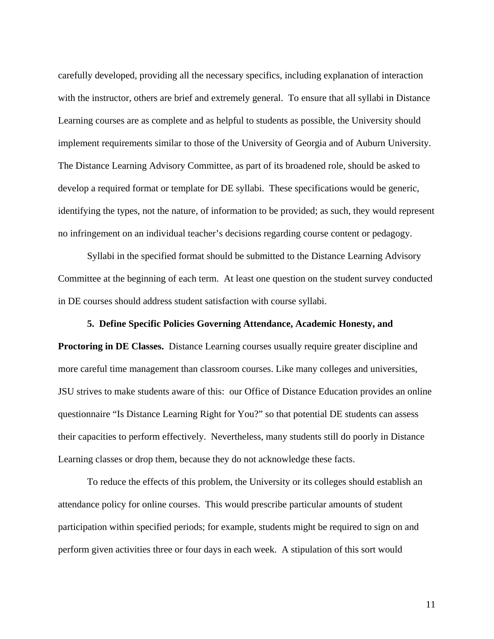carefully developed, providing all the necessary specifics, including explanation of interaction with the instructor, others are brief and extremely general. To ensure that all syllabi in Distance Learning courses are as complete and as helpful to students as possible, the University should implement requirements similar to those of the University of Georgia and of Auburn University. The Distance Learning Advisory Committee, as part of its broadened role, should be asked to develop a required format or template for DE syllabi. These specifications would be generic, identifying the types, not the nature, of information to be provided; as such, they would represent no infringement on an individual teacher's decisions regarding course content or pedagogy.

Syllabi in the specified format should be submitted to the Distance Learning Advisory Committee at the beginning of each term. At least one question on the student survey conducted in DE courses should address student satisfaction with course syllabi.

## **5. Define Specific Policies Governing Attendance, Academic Honesty, and**

**Proctoring in DE Classes.** Distance Learning courses usually require greater discipline and more careful time management than classroom courses. Like many colleges and universities, JSU strives to make students aware of this: our Office of Distance Education provides an online questionnaire "Is Distance Learning Right for You?" so that potential DE students can assess their capacities to perform effectively. Nevertheless, many students still do poorly in Distance Learning classes or drop them, because they do not acknowledge these facts.

To reduce the effects of this problem, the University or its colleges should establish an attendance policy for online courses. This would prescribe particular amounts of student participation within specified periods; for example, students might be required to sign on and perform given activities three or four days in each week. A stipulation of this sort would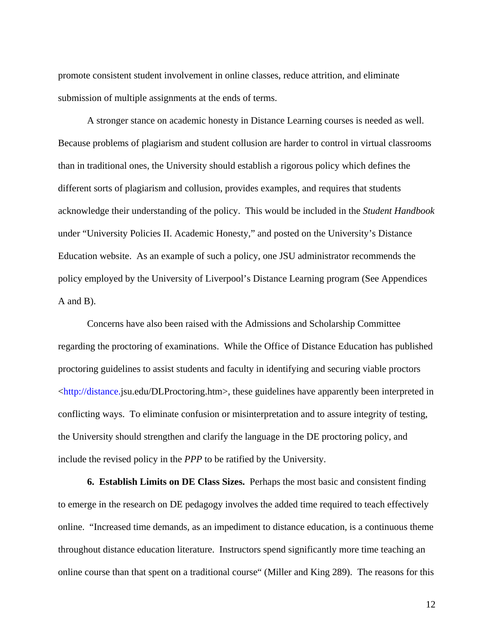promote consistent student involvement in online classes, reduce attrition, and eliminate submission of multiple assignments at the ends of terms.

A stronger stance on academic honesty in Distance Learning courses is needed as well. Because problems of plagiarism and student collusion are harder to control in virtual classrooms than in traditional ones, the University should establish a rigorous policy which defines the different sorts of plagiarism and collusion, provides examples, and requires that students acknowledge their understanding of the policy. This would be included in the *Student Handbook*  under "University Policies II. Academic Honesty," and posted on the University's Distance Education website. As an example of such a policy, one JSU administrator recommends the policy employed by the University of Liverpool's Distance Learning program (See Appendices A and B).

Concerns have also been raised with the Admissions and Scholarship Committee regarding the proctoring of examinations. While the Office of Distance Education has published proctoring guidelines to assist students and faculty in identifying and securing viable proctors <http://distance.jsu.edu/DLProctoring.htm>, these guidelines have apparently been interpreted in conflicting ways. To eliminate confusion or misinterpretation and to assure integrity of testing, the University should strengthen and clarify the language in the DE proctoring policy, and include the revised policy in the *PPP* to be ratified by the University.

**6. Establish Limits on DE Class Sizes.** Perhaps the most basic and consistent finding to emerge in the research on DE pedagogy involves the added time required to teach effectively online. "Increased time demands, as an impediment to distance education, is a continuous theme throughout distance education literature. Instructors spend significantly more time teaching an online course than that spent on a traditional course" (Miller and King 289). The reasons for this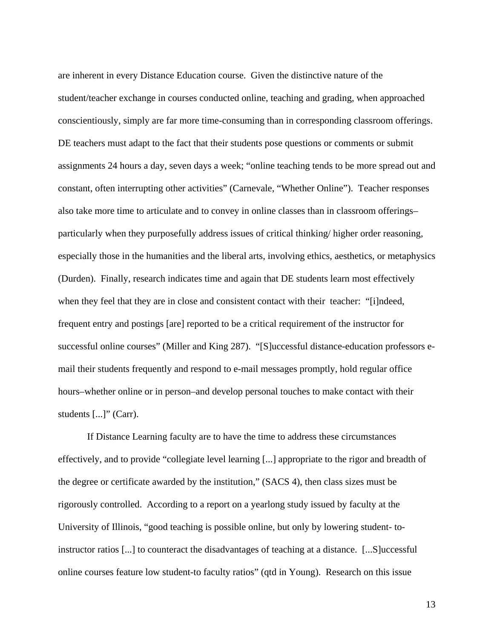are inherent in every Distance Education course. Given the distinctive nature of the student/teacher exchange in courses conducted online, teaching and grading, when approached conscientiously, simply are far more time-consuming than in corresponding classroom offerings. DE teachers must adapt to the fact that their students pose questions or comments or submit assignments 24 hours a day, seven days a week; "online teaching tends to be more spread out and constant, often interrupting other activities" (Carnevale, "Whether Online"). Teacher responses also take more time to articulate and to convey in online classes than in classroom offerings– particularly when they purposefully address issues of critical thinking/ higher order reasoning, especially those in the humanities and the liberal arts, involving ethics, aesthetics, or metaphysics (Durden). Finally, research indicates time and again that DE students learn most effectively when they feel that they are in close and consistent contact with their teacher: "[i]ndeed, frequent entry and postings [are] reported to be a critical requirement of the instructor for successful online courses" (Miller and King 287). "[S]uccessful distance-education professors email their students frequently and respond to e-mail messages promptly, hold regular office hours–whether online or in person–and develop personal touches to make contact with their students [...]" (Carr).

If Distance Learning faculty are to have the time to address these circumstances effectively, and to provide "collegiate level learning [...] appropriate to the rigor and breadth of the degree or certificate awarded by the institution," (SACS 4), then class sizes must be rigorously controlled. According to a report on a yearlong study issued by faculty at the University of Illinois, "good teaching is possible online, but only by lowering student- toinstructor ratios [...] to counteract the disadvantages of teaching at a distance. [...S]uccessful online courses feature low student-to faculty ratios" (qtd in Young). Research on this issue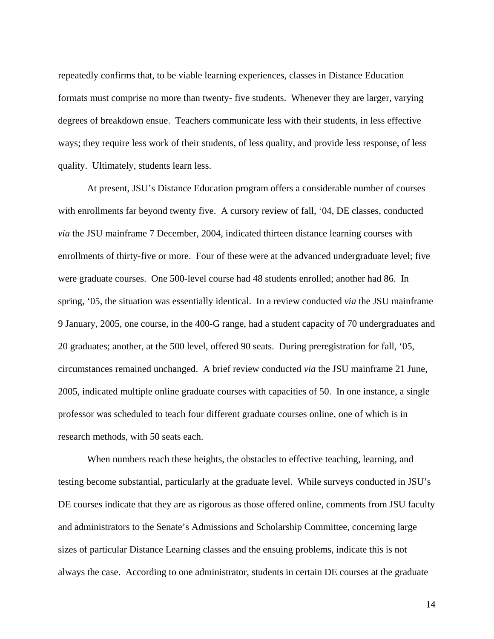repeatedly confirms that, to be viable learning experiences, classes in Distance Education formats must comprise no more than twenty- five students. Whenever they are larger, varying degrees of breakdown ensue. Teachers communicate less with their students, in less effective ways; they require less work of their students, of less quality, and provide less response, of less quality. Ultimately, students learn less.

At present, JSU's Distance Education program offers a considerable number of courses with enrollments far beyond twenty five. A cursory review of fall, '04, DE classes, conducted *via* the JSU mainframe 7 December, 2004, indicated thirteen distance learning courses with enrollments of thirty-five or more. Four of these were at the advanced undergraduate level; five were graduate courses. One 500-level course had 48 students enrolled; another had 86. In spring, '05, the situation was essentially identical. In a review conducted *via* the JSU mainframe 9 January, 2005, one course, in the 400-G range, had a student capacity of 70 undergraduates and 20 graduates; another, at the 500 level, offered 90 seats. During preregistration for fall, '05, circumstances remained unchanged. A brief review conducted *via* the JSU mainframe 21 June, 2005, indicated multiple online graduate courses with capacities of 50. In one instance, a single professor was scheduled to teach four different graduate courses online, one of which is in research methods, with 50 seats each.

When numbers reach these heights, the obstacles to effective teaching, learning, and testing become substantial, particularly at the graduate level. While surveys conducted in JSU's DE courses indicate that they are as rigorous as those offered online, comments from JSU faculty and administrators to the Senate's Admissions and Scholarship Committee, concerning large sizes of particular Distance Learning classes and the ensuing problems, indicate this is not always the case. According to one administrator, students in certain DE courses at the graduate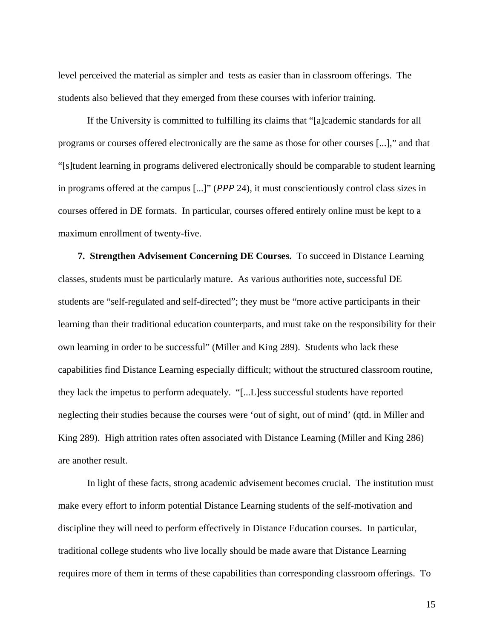level perceived the material as simpler and tests as easier than in classroom offerings. The students also believed that they emerged from these courses with inferior training.

If the University is committed to fulfilling its claims that "[a]cademic standards for all programs or courses offered electronically are the same as those for other courses [...]," and that "[s]tudent learning in programs delivered electronically should be comparable to student learning in programs offered at the campus [...]" (*PPP* 24), it must conscientiously control class sizes in courses offered in DE formats. In particular, courses offered entirely online must be kept to a maximum enrollment of twenty-five.

**7. Strengthen Advisement Concerning DE Courses.** To succeed in Distance Learning classes, students must be particularly mature. As various authorities note, successful DE students are "self-regulated and self-directed"; they must be "more active participants in their learning than their traditional education counterparts, and must take on the responsibility for their own learning in order to be successful" (Miller and King 289). Students who lack these capabilities find Distance Learning especially difficult; without the structured classroom routine, they lack the impetus to perform adequately. "[...L]ess successful students have reported neglecting their studies because the courses were 'out of sight, out of mind' (qtd. in Miller and King 289). High attrition rates often associated with Distance Learning (Miller and King 286) are another result.

In light of these facts, strong academic advisement becomes crucial. The institution must make every effort to inform potential Distance Learning students of the self-motivation and discipline they will need to perform effectively in Distance Education courses. In particular, traditional college students who live locally should be made aware that Distance Learning requires more of them in terms of these capabilities than corresponding classroom offerings. To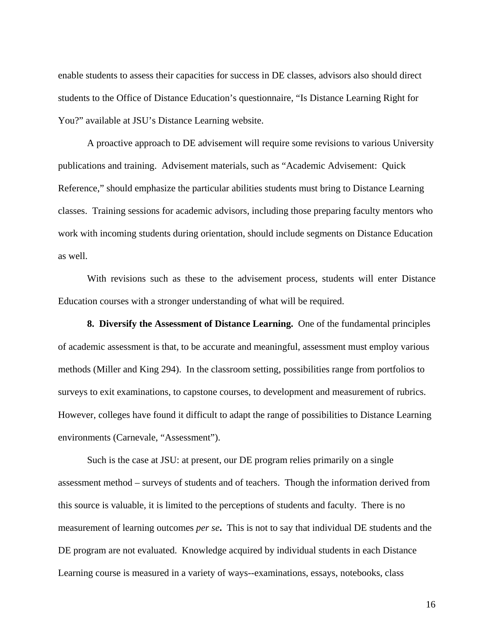enable students to assess their capacities for success in DE classes, advisors also should direct students to the Office of Distance Education's questionnaire, "Is Distance Learning Right for You?" available at JSU's Distance Learning website.

A proactive approach to DE advisement will require some revisions to various University publications and training. Advisement materials, such as "Academic Advisement: Quick Reference," should emphasize the particular abilities students must bring to Distance Learning classes. Training sessions for academic advisors, including those preparing faculty mentors who work with incoming students during orientation, should include segments on Distance Education as well.

With revisions such as these to the advisement process, students will enter Distance Education courses with a stronger understanding of what will be required.

**8. Diversify the Assessment of Distance Learning.** One of the fundamental principles of academic assessment is that, to be accurate and meaningful, assessment must employ various methods (Miller and King 294). In the classroom setting, possibilities range from portfolios to surveys to exit examinations, to capstone courses, to development and measurement of rubrics. However, colleges have found it difficult to adapt the range of possibilities to Distance Learning environments (Carnevale, "Assessment").

Such is the case at JSU: at present, our DE program relies primarily on a single assessment method – surveys of students and of teachers. Though the information derived from this source is valuable, it is limited to the perceptions of students and faculty. There is no measurement of learning outcomes *per se***.** This is not to say that individual DE students and the DE program are not evaluated. Knowledge acquired by individual students in each Distance Learning course is measured in a variety of ways--examinations, essays, notebooks, class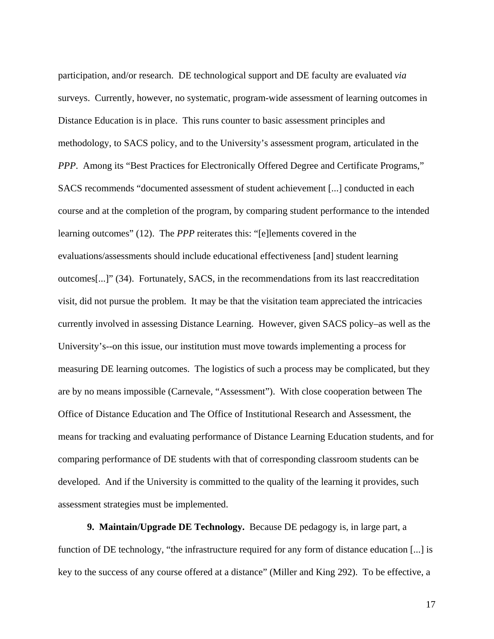participation, and/or research. DE technological support and DE faculty are evaluated *via* surveys. Currently, however, no systematic, program-wide assessment of learning outcomes in Distance Education is in place. This runs counter to basic assessment principles and methodology, to SACS policy, and to the University's assessment program, articulated in the *PPP*. Among its "Best Practices for Electronically Offered Degree and Certificate Programs," SACS recommends "documented assessment of student achievement [...] conducted in each course and at the completion of the program, by comparing student performance to the intended learning outcomes" (12). The *PPP* reiterates this: "[e]lements covered in the evaluations/assessments should include educational effectiveness [and] student learning outcomes[...]" (34). Fortunately, SACS, in the recommendations from its last reaccreditation visit, did not pursue the problem. It may be that the visitation team appreciated the intricacies currently involved in assessing Distance Learning. However, given SACS policy–as well as the University's--on this issue, our institution must move towards implementing a process for measuring DE learning outcomes. The logistics of such a process may be complicated, but they are by no means impossible (Carnevale, "Assessment"). With close cooperation between The Office of Distance Education and The Office of Institutional Research and Assessment, the means for tracking and evaluating performance of Distance Learning Education students, and for comparing performance of DE students with that of corresponding classroom students can be developed. And if the University is committed to the quality of the learning it provides, such assessment strategies must be implemented.

**9. Maintain/Upgrade DE Technology.** Because DE pedagogy is, in large part, a function of DE technology, "the infrastructure required for any form of distance education [...] is key to the success of any course offered at a distance" (Miller and King 292). To be effective, a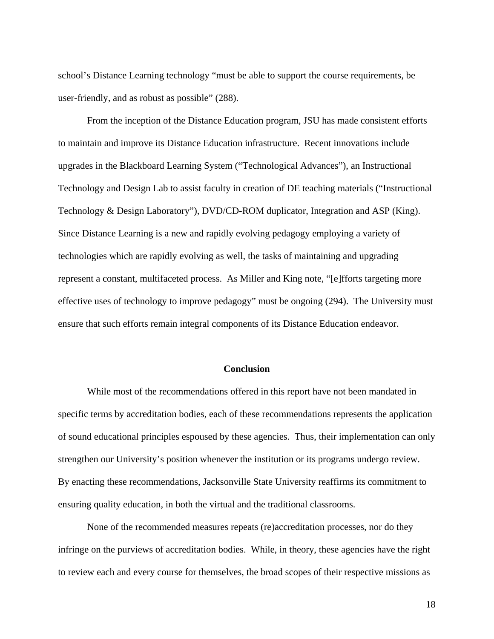school's Distance Learning technology "must be able to support the course requirements, be user-friendly, and as robust as possible" (288).

From the inception of the Distance Education program, JSU has made consistent efforts to maintain and improve its Distance Education infrastructure. Recent innovations include upgrades in the Blackboard Learning System ("Technological Advances"), an Instructional Technology and Design Lab to assist faculty in creation of DE teaching materials ("Instructional Technology & Design Laboratory"), DVD/CD-ROM duplicator, Integration and ASP (King). Since Distance Learning is a new and rapidly evolving pedagogy employing a variety of technologies which are rapidly evolving as well, the tasks of maintaining and upgrading represent a constant, multifaceted process. As Miller and King note, "[e]fforts targeting more effective uses of technology to improve pedagogy" must be ongoing (294). The University must ensure that such efforts remain integral components of its Distance Education endeavor.

#### **Conclusion**

While most of the recommendations offered in this report have not been mandated in specific terms by accreditation bodies, each of these recommendations represents the application of sound educational principles espoused by these agencies. Thus, their implementation can only strengthen our University's position whenever the institution or its programs undergo review. By enacting these recommendations, Jacksonville State University reaffirms its commitment to ensuring quality education, in both the virtual and the traditional classrooms.

None of the recommended measures repeats (re)accreditation processes, nor do they infringe on the purviews of accreditation bodies. While, in theory, these agencies have the right to review each and every course for themselves, the broad scopes of their respective missions as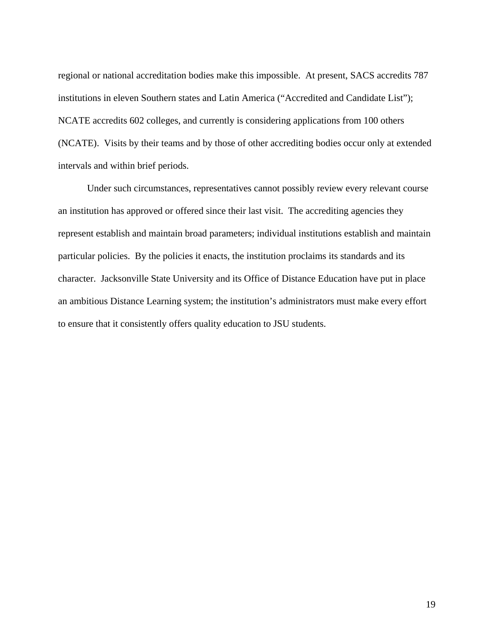regional or national accreditation bodies make this impossible. At present, SACS accredits 787 institutions in eleven Southern states and Latin America ("Accredited and Candidate List"); NCATE accredits 602 colleges, and currently is considering applications from 100 others (NCATE). Visits by their teams and by those of other accrediting bodies occur only at extended intervals and within brief periods.

Under such circumstances, representatives cannot possibly review every relevant course an institution has approved or offered since their last visit. The accrediting agencies they represent establish and maintain broad parameters; individual institutions establish and maintain particular policies. By the policies it enacts, the institution proclaims its standards and its character. Jacksonville State University and its Office of Distance Education have put in place an ambitious Distance Learning system; the institution's administrators must make every effort to ensure that it consistently offers quality education to JSU students.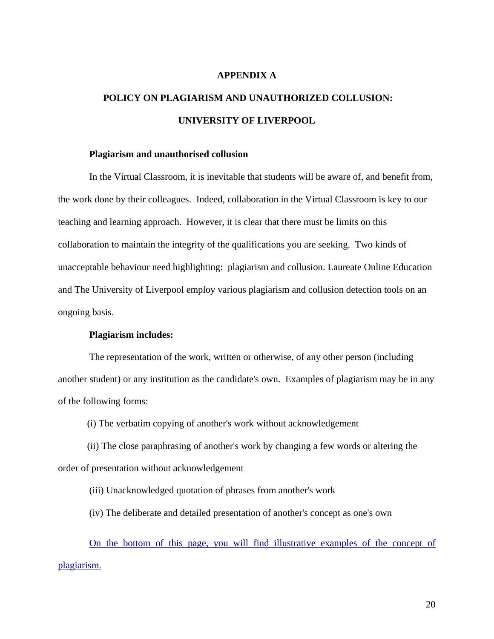## **APPENDIX A**

# **POLICY ON PLAGIARISM AND UNAUTHORIZED COLLUSION: UNIVERSITY OF LIVERPOOL**

#### **Plagiarism and unauthorised collusion**

In the Virtual Classroom, it is inevitable that students will be aware of, and benefit from, the work done by their colleagues. Indeed, collaboration in the Virtual Classroom is key to our teaching and learning approach. However, it is clear that there must be limits on this collaboration to maintain the integrity of the qualifications you are seeking. Two kinds of unacceptable behaviour need highlighting: plagiarism and collusion. Laureate Online Education and The University of Liverpool employ various plagiarism and collusion detection tools on an ongoing basis.

## **Plagiarism includes:**

The representation of the work, written or otherwise, of any other person (including another student) or any institution as the candidate's own. Examples of plagiarism may be in any of the following forms:

(i) The verbatim copying of another's work without acknowledgement

(ii) The close paraphrasing of another's work by changing a few words or altering the order of presentation without acknowledgement

(iii) Unacknowledged quotation of phrases from another's work

(iv) The deliberate and detailed presentation of another's concept as one's own

On the bottom of this page, you will find illustrative examples of the concept of plagiarism.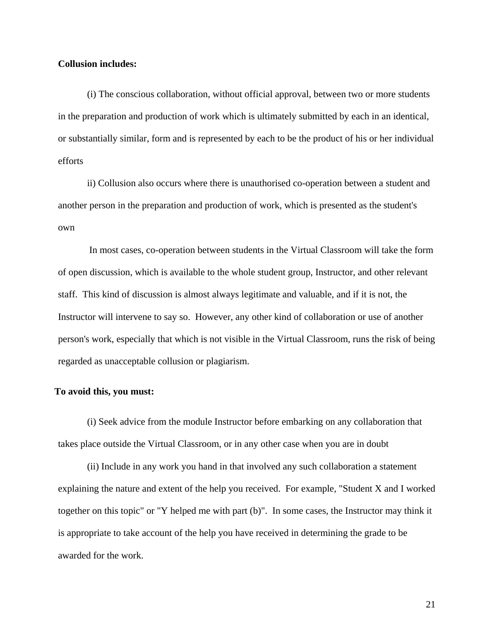## **Collusion includes:**

(i) The conscious collaboration, without official approval, between two or more students in the preparation and production of work which is ultimately submitted by each in an identical, or substantially similar, form and is represented by each to be the product of his or her individual efforts

ii) Collusion also occurs where there is unauthorised co-operation between a student and another person in the preparation and production of work, which is presented as the student's own

In most cases, co-operation between students in the Virtual Classroom will take the form of open discussion, which is available to the whole student group, Instructor, and other relevant staff. This kind of discussion is almost always legitimate and valuable, and if it is not, the Instructor will intervene to say so. However, any other kind of collaboration or use of another person's work, especially that which is not visible in the Virtual Classroom, runs the risk of being regarded as unacceptable collusion or plagiarism.

## **To avoid this, you must:**

(i) Seek advice from the module Instructor before embarking on any collaboration that takes place outside the Virtual Classroom, or in any other case when you are in doubt

(ii) Include in any work you hand in that involved any such collaboration a statement explaining the nature and extent of the help you received. For example, "Student X and I worked together on this topic" or "Y helped me with part (b)". In some cases, the Instructor may think it is appropriate to take account of the help you have received in determining the grade to be awarded for the work.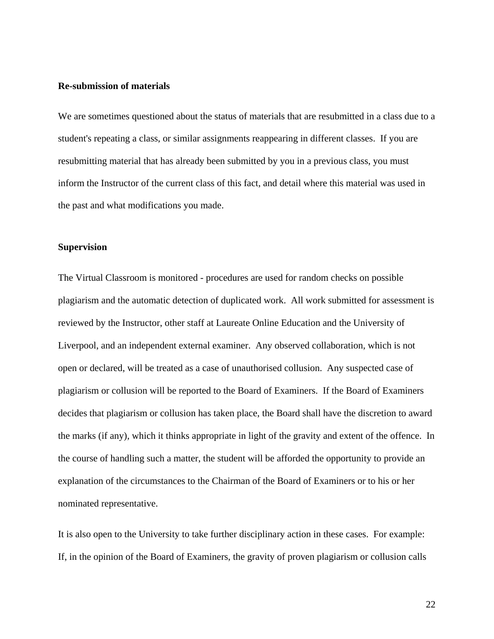#### **Re-submission of materials**

We are sometimes questioned about the status of materials that are resubmitted in a class due to a student's repeating a class, or similar assignments reappearing in different classes. If you are resubmitting material that has already been submitted by you in a previous class, you must inform the Instructor of the current class of this fact, and detail where this material was used in the past and what modifications you made.

## **Supervision**

The Virtual Classroom is monitored - procedures are used for random checks on possible plagiarism and the automatic detection of duplicated work. All work submitted for assessment is reviewed by the Instructor, other staff at Laureate Online Education and the University of Liverpool, and an independent external examiner. Any observed collaboration, which is not open or declared, will be treated as a case of unauthorised collusion. Any suspected case of plagiarism or collusion will be reported to the Board of Examiners. If the Board of Examiners decides that plagiarism or collusion has taken place, the Board shall have the discretion to award the marks (if any), which it thinks appropriate in light of the gravity and extent of the offence. In the course of handling such a matter, the student will be afforded the opportunity to provide an explanation of the circumstances to the Chairman of the Board of Examiners or to his or her nominated representative.

It is also open to the University to take further disciplinary action in these cases. For example: If, in the opinion of the Board of Examiners, the gravity of proven plagiarism or collusion calls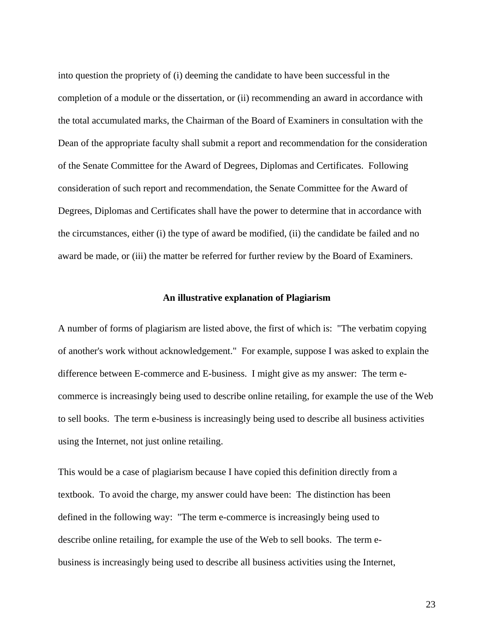into question the propriety of (i) deeming the candidate to have been successful in the completion of a module or the dissertation, or (ii) recommending an award in accordance with the total accumulated marks, the Chairman of the Board of Examiners in consultation with the Dean of the appropriate faculty shall submit a report and recommendation for the consideration of the Senate Committee for the Award of Degrees, Diplomas and Certificates. Following consideration of such report and recommendation, the Senate Committee for the Award of Degrees, Diplomas and Certificates shall have the power to determine that in accordance with the circumstances, either (i) the type of award be modified, (ii) the candidate be failed and no award be made, or (iii) the matter be referred for further review by the Board of Examiners.

#### **An illustrative explanation of Plagiarism**

A number of forms of plagiarism are listed above, the first of which is: "The verbatim copying of another's work without acknowledgement." For example, suppose I was asked to explain the difference between E-commerce and E-business. I might give as my answer: The term ecommerce is increasingly being used to describe online retailing, for example the use of the Web to sell books. The term e-business is increasingly being used to describe all business activities using the Internet, not just online retailing.

This would be a case of plagiarism because I have copied this definition directly from a textbook. To avoid the charge, my answer could have been: The distinction has been defined in the following way: "The term e-commerce is increasingly being used to describe online retailing, for example the use of the Web to sell books. The term ebusiness is increasingly being used to describe all business activities using the Internet,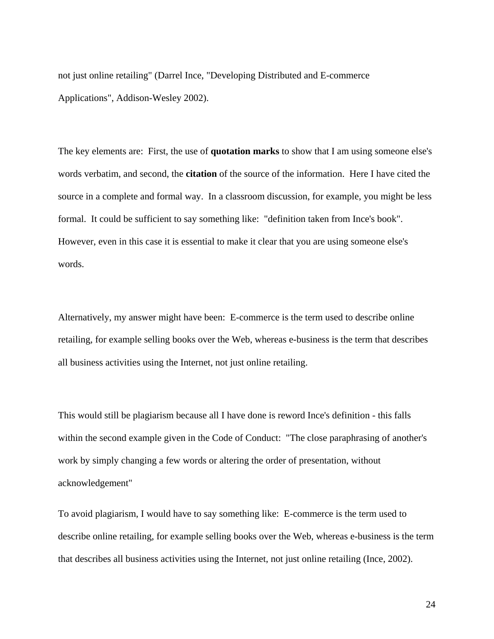not just online retailing" (Darrel Ince, "Developing Distributed and E-commerce Applications", Addison-Wesley 2002).

The key elements are: First, the use of **quotation marks** to show that I am using someone else's words verbatim, and second, the **citation** of the source of the information. Here I have cited the source in a complete and formal way. In a classroom discussion, for example, you might be less formal. It could be sufficient to say something like: "definition taken from Ince's book". However, even in this case it is essential to make it clear that you are using someone else's words.

Alternatively, my answer might have been: E-commerce is the term used to describe online retailing, for example selling books over the Web, whereas e-business is the term that describes all business activities using the Internet, not just online retailing.

This would still be plagiarism because all I have done is reword Ince's definition - this falls within the second example given in the Code of Conduct: "The close paraphrasing of another's work by simply changing a few words or altering the order of presentation, without acknowledgement"

To avoid plagiarism, I would have to say something like: E-commerce is the term used to describe online retailing, for example selling books over the Web, whereas e-business is the term that describes all business activities using the Internet, not just online retailing (Ince, 2002).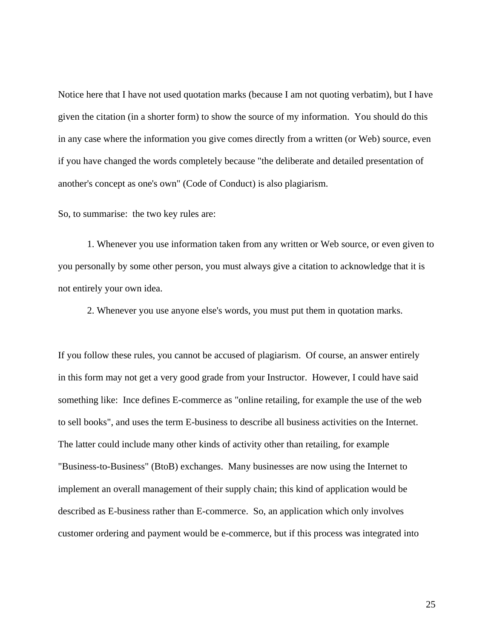Notice here that I have not used quotation marks (because I am not quoting verbatim), but I have given the citation (in a shorter form) to show the source of my information. You should do this in any case where the information you give comes directly from a written (or Web) source, even if you have changed the words completely because "the deliberate and detailed presentation of another's concept as one's own" (Code of Conduct) is also plagiarism.

So, to summarise: the two key rules are:

1. Whenever you use information taken from any written or Web source, or even given to you personally by some other person, you must always give a citation to acknowledge that it is not entirely your own idea.

2. Whenever you use anyone else's words, you must put them in quotation marks.

If you follow these rules, you cannot be accused of plagiarism. Of course, an answer entirely in this form may not get a very good grade from your Instructor. However, I could have said something like: Ince defines E-commerce as "online retailing, for example the use of the web to sell books", and uses the term E-business to describe all business activities on the Internet. The latter could include many other kinds of activity other than retailing, for example "Business-to-Business" (BtoB) exchanges. Many businesses are now using the Internet to implement an overall management of their supply chain; this kind of application would be described as E-business rather than E-commerce. So, an application which only involves customer ordering and payment would be e-commerce, but if this process was integrated into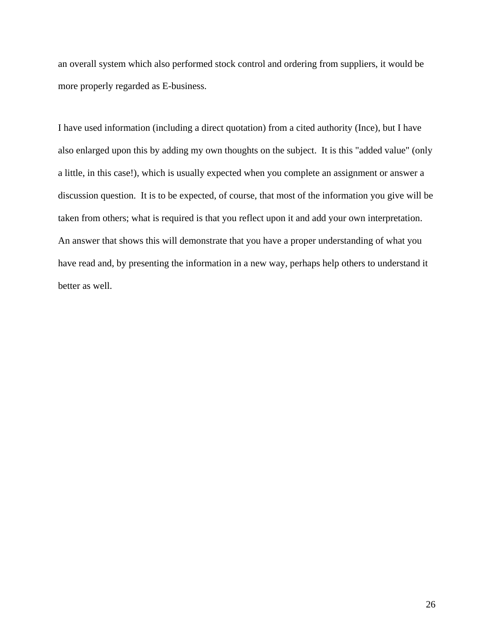an overall system which also performed stock control and ordering from suppliers, it would be more properly regarded as E-business.

I have used information (including a direct quotation) from a cited authority (Ince), but I have also enlarged upon this by adding my own thoughts on the subject. It is this "added value" (only a little, in this case!), which is usually expected when you complete an assignment or answer a discussion question. It is to be expected, of course, that most of the information you give will be taken from others; what is required is that you reflect upon it and add your own interpretation. An answer that shows this will demonstrate that you have a proper understanding of what you have read and, by presenting the information in a new way, perhaps help others to understand it better as well.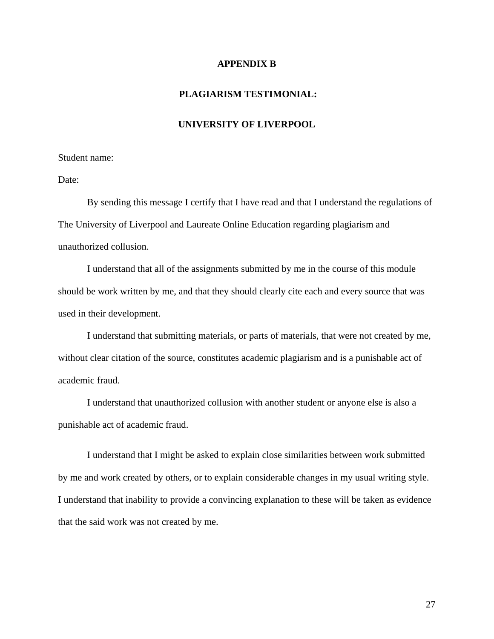### **APPENDIX B**

## **PLAGIARISM TESTIMONIAL:**

## **UNIVERSITY OF LIVERPOOL**

#### Student name:

Date:

By sending this message I certify that I have read and that I understand the regulations of The University of Liverpool and Laureate Online Education regarding plagiarism and unauthorized collusion.

I understand that all of the assignments submitted by me in the course of this module should be work written by me, and that they should clearly cite each and every source that was used in their development.

I understand that submitting materials, or parts of materials, that were not created by me, without clear citation of the source, constitutes academic plagiarism and is a punishable act of academic fraud.

I understand that unauthorized collusion with another student or anyone else is also a punishable act of academic fraud.

I understand that I might be asked to explain close similarities between work submitted by me and work created by others, or to explain considerable changes in my usual writing style. I understand that inability to provide a convincing explanation to these will be taken as evidence that the said work was not created by me.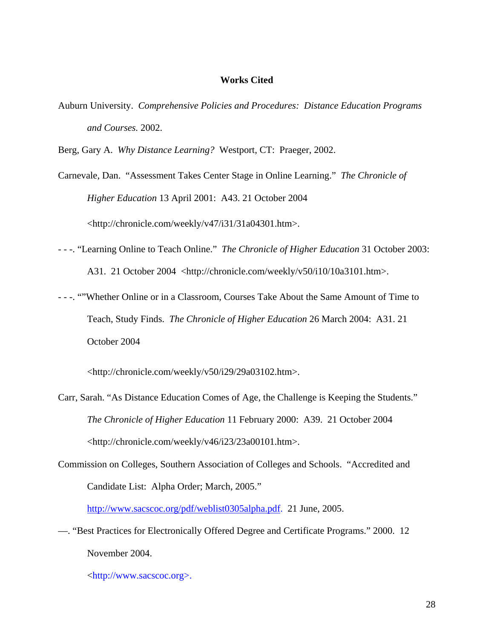## **Works Cited**

Auburn University. *Comprehensive Policies and Procedures: Distance Education Programs and Courses.* 2002.

Berg, Gary A. *Why Distance Learning?* Westport, CT: Praeger, 2002.

Carnevale, Dan. "Assessment Takes Center Stage in Online Learning." *The Chronicle of Higher Education* 13 April 2001: A43. 21 October 2004 <http://chronicle.com/weekly/v47/i31/31a04301.htm>.

- - -. "Learning Online to Teach Online." *The Chronicle of Higher Education* 31 October 2003: A31. 21 October 2004 <http://chronicle.com/weekly/v50/i10/10a3101.htm>.
- - -. ""Whether Online or in a Classroom, Courses Take About the Same Amount of Time to Teach, Study Finds. *The Chronicle of Higher Education* 26 March 2004: A31. 21 October 2004

<http://chronicle.com/weekly/v50/i29/29a03102.htm>.

- Carr, Sarah. "As Distance Education Comes of Age, the Challenge is Keeping the Students." *The Chronicle of Higher Education* 11 February 2000: A39. 21 October 2004 <http://chronicle.com/weekly/v46/i23/23a00101.htm>.
- Commission on Colleges, Southern Association of Colleges and Schools. "Accredited and Candidate List: Alpha Order; March, 2005."

http://www.sacscoc.org/pdf/weblist0305alpha.pdf. 21 June, 2005.

—. "Best Practices for Electronically Offered Degree and Certificate Programs." 2000. 12 November 2004.

<http://www.sacscoc.org>.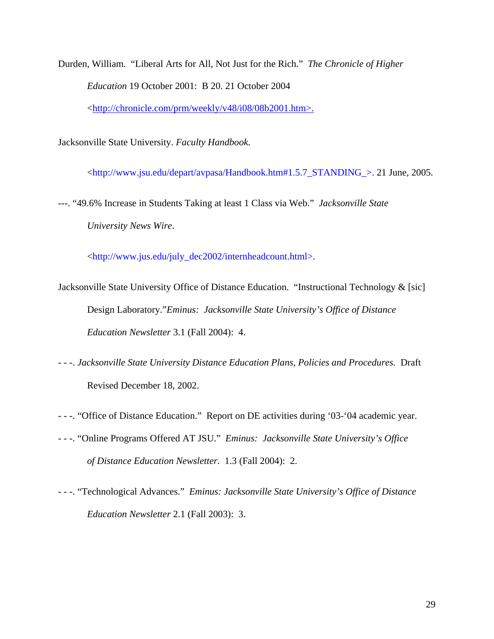Durden, William. "Liberal Arts for All, Not Just for the Rich." *The Chronicle of Higher Education* 19 October 2001: B 20. 21 October 2004 <http://chronicle.com/prm/weekly/v48/i08/08b2001.htm>.

Jacksonville State University. *Faculty Handbook.* 

<http://www.jsu.edu/depart/avpasa/Handbook.htm#1.5.7\_STANDING\_>. 21 June, 2005.

---. "49.6% Increase in Students Taking at least 1 Class via Web." *Jacksonville State University News Wire*.

<http://www.jus.edu/july\_dec2002/internheadcount.html>.

- Jacksonville State University Office of Distance Education. "Instructional Technology & [sic] Design Laboratory."*Eminus: Jacksonville State University's Office of Distance Education Newsletter* 3.1 (Fall 2004): 4.
- - -. *Jacksonville State University Distance Education Plans, Policies and Procedures.* Draft Revised December 18, 2002.
- - -. "Office of Distance Education." Report on DE activities during '03-'04 academic year.
- - -. "Online Programs Offered AT JSU." *Eminus: Jacksonville State University's Office of Distance Education Newsletter.* 1.3 (Fall 2004): 2.
- - -. "Technological Advances." *Eminus: Jacksonville State University's Office of Distance Education Newsletter* 2.1 (Fall 2003): 3.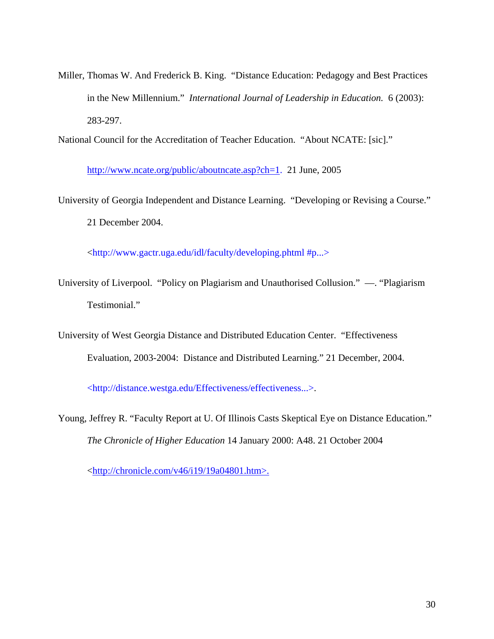Miller, Thomas W. And Frederick B. King. "Distance Education: Pedagogy and Best Practices in the New Millennium." *International Journal of Leadership in Education.* 6 (2003): 283-297.

National Council for the Accreditation of Teacher Education. "About NCATE: [sic]."

http://www.ncate.org/public/aboutncate.asp?ch=1. 21 June, 2005

University of Georgia Independent and Distance Learning. "Developing or Revising a Course." 21 December 2004.

<http://www.gactr.uga.edu/idl/faculty/developing.phtml #p...>

University of Liverpool. "Policy on Plagiarism and Unauthorised Collusion." —. "Plagiarism Testimonial."

University of West Georgia Distance and Distributed Education Center. "Effectiveness Evaluation, 2003-2004: Distance and Distributed Learning." 21 December, 2004.

<http://distance.westga.edu/Effectiveness/effectiveness...>.

Young, Jeffrey R. "Faculty Report at U. Of Illinois Casts Skeptical Eye on Distance Education." *The Chronicle of Higher Education* 14 January 2000: A48. 21 October 2004

<http://chronicle.com/v46/i19/19a04801.htm>.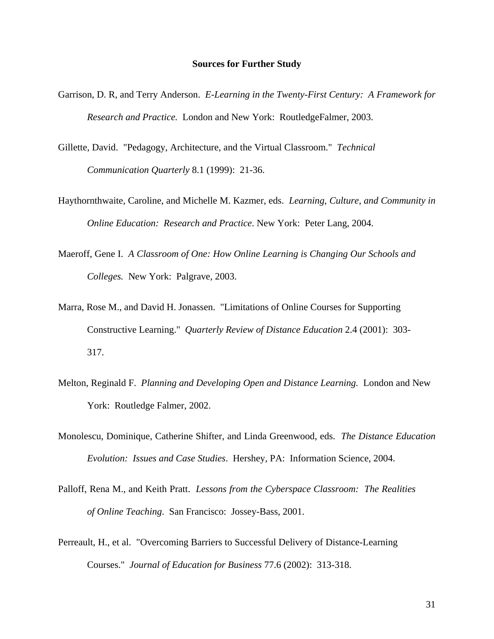#### **Sources for Further Study**

- Garrison, D. R, and Terry Anderson. *E-Learning in the Twenty-First Century: A Framework for Research and Practice.* London and New York: RoutledgeFalmer, 2003.
- Gillette, David. "Pedagogy, Architecture, and the Virtual Classroom." *Technical Communication Quarterly* 8.1 (1999): 21-36.
- Haythornthwaite, Caroline, and Michelle M. Kazmer, eds. *Learning, Culture, and Community in Online Education: Research and Practice*. New York: Peter Lang, 2004.
- Maeroff, Gene I. *A Classroom of One: How Online Learning is Changing Our Schools and Colleges.* New York: Palgrave, 2003.
- Marra, Rose M., and David H. Jonassen. "Limitations of Online Courses for Supporting Constructive Learning." *Quarterly Review of Distance Education* 2.4 (2001): 303- 317.
- Melton, Reginald F. *Planning and Developing Open and Distance Learning.* London and New York: Routledge Falmer, 2002.
- Monolescu, Dominique, Catherine Shifter, and Linda Greenwood, eds. *The Distance Education Evolution: Issues and Case Studies*. Hershey, PA: Information Science, 2004.
- Palloff, Rena M., and Keith Pratt. *Lessons from the Cyberspace Classroom: The Realities of Online Teaching*. San Francisco: Jossey-Bass, 2001.
- Perreault, H., et al. "Overcoming Barriers to Successful Delivery of Distance-Learning Courses." *Journal of Education for Business* 77.6 (2002): 313-318.